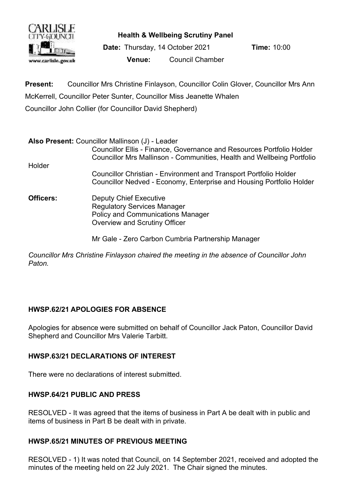

**Health & Wellbeing Scrutiny Panel**

**Date:** Thursday, 14 October 2021 **Time:** 10:00 **Venue:** Council Chamber

**Present:** Councillor Mrs Christine Finlayson, Councillor Colin Glover, Councillor Mrs Ann McKerrell, Councillor Peter Sunter, Councillor Miss Jeanette Whalen Councillor John Collier (for Councillor David Shepherd)

|           | Also Present: Councillor Mallinson (J) - Leader                                                                                                  |
|-----------|--------------------------------------------------------------------------------------------------------------------------------------------------|
|           | Councillor Ellis - Finance, Governance and Resources Portfolio Holder<br>Councillor Mrs Mallinson - Communities, Health and Wellbeing Portfolio  |
| Holder    |                                                                                                                                                  |
|           | <b>Councillor Christian - Environment and Transport Portfolio Holder</b><br>Councillor Nedved - Economy, Enterprise and Housing Portfolio Holder |
| Officers: | <b>Deputy Chief Executive</b><br><b>Regulatory Services Manager</b><br><b>Policy and Communications Manager</b><br>Overview and Scrutiny Officer |

Mr Gale - Zero Carbon Cumbria Partnership Manager

*Councillor Mrs Christine Finlayson chaired the meeting in the absence of Councillor John Paton.*

## **HWSP.62/21 APOLOGIES FOR ABSENCE**

Apologies for absence were submitted on behalf of Councillor Jack Paton, Councillor David Shepherd and Councillor Mrs Valerie Tarbitt.

## **HWSP.63/21 DECLARATIONS OF INTEREST**

There were no declarations of interest submitted.

## **HWSP.64/21 PUBLIC AND PRESS**

RESOLVED - It was agreed that the items of business in Part A be dealt with in public and items of business in Part B be dealt with in private.

## **HWSP.65/21 MINUTES OF PREVIOUS MEETING**

RESOLVED - 1) It was noted that Council, on 14 September 2021, received and adopted the minutes of the meeting held on 22 July 2021. The Chair signed the minutes.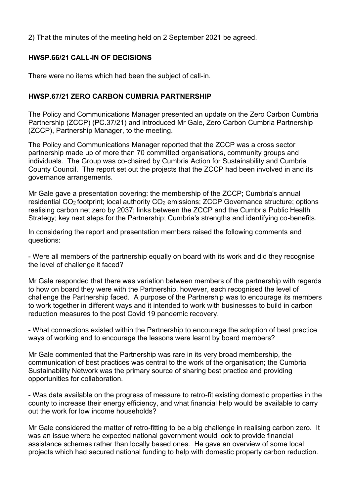2) That the minutes of the meeting held on 2 September 2021 be agreed.

# **HWSP.66/21 CALL-IN OF DECISIONS**

There were no items which had been the subject of call-in.

## **HWSP.67/21 ZERO CARBON CUMBRIA PARTNERSHIP**

The Policy and Communications Manager presented an update on the Zero Carbon Cumbria Partnership (ZCCP) (PC.37/21) and introduced Mr Gale, Zero Carbon Cumbria Partnership (ZCCP), Partnership Manager, to the meeting.

The Policy and Communications Manager reported that the ZCCP was a cross sector partnership made up of more than 70 committed organisations, community groups and individuals. The Group was co-chaired by Cumbria Action for Sustainability and Cumbria County Council. The report set out the projects that the ZCCP had been involved in and its governance arrangements.

Mr Gale gave a presentation covering: the membership of the ZCCP; Cumbria's annual residential CO<sub>2</sub> footprint; local authority CO<sub>2</sub> emissions; ZCCP Governance structure; options realising carbon net zero by 2037; links between the ZCCP and the Cumbria Public Health Strategy; key next steps for the Partnership; Cumbria's strengths and identifying co-benefits.

In considering the report and presentation members raised the following comments and questions:

- Were all members of the partnership equally on board with its work and did they recognise the level of challenge it faced?

Mr Gale responded that there was variation between members of the partnership with regards to how on board they were with the Partnership, however, each recognised the level of challenge the Partnership faced. A purpose of the Partnership was to encourage its members to work together in different ways and it intended to work with businesses to build in carbon reduction measures to the post Covid 19 pandemic recovery.

- What connections existed within the Partnership to encourage the adoption of best practice ways of working and to encourage the lessons were learnt by board members?

Mr Gale commented that the Partnership was rare in its very broad membership, the communication of best practices was central to the work of the organisation; the Cumbria Sustainability Network was the primary source of sharing best practice and providing opportunities for collaboration.

- Was data available on the progress of measure to retro-fit existing domestic properties in the county to increase their energy efficiency, and what financial help would be available to carry out the work for low income households?

Mr Gale considered the matter of retro-fitting to be a big challenge in realising carbon zero. It was an issue where he expected national government would look to provide financial assistance schemes rather than locally based ones. He gave an overview of some local projects which had secured national funding to help with domestic property carbon reduction.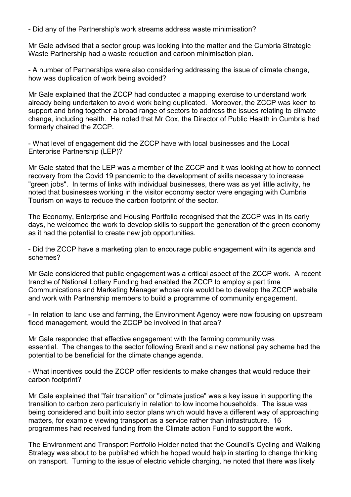- Did any of the Partnership's work streams address waste minimisation?

Mr Gale advised that a sector group was looking into the matter and the Cumbria Strategic Waste Partnership had a waste reduction and carbon minimisation plan.

- A number of Partnerships were also considering addressing the issue of climate change, how was duplication of work being avoided?

Mr Gale explained that the ZCCP had conducted a mapping exercise to understand work already being undertaken to avoid work being duplicated. Moreover, the ZCCP was keen to support and bring together a broad range of sectors to address the issues relating to climate change, including health. He noted that Mr Cox, the Director of Public Health in Cumbria had formerly chaired the ZCCP.

- What level of engagement did the ZCCP have with local businesses and the Local Enterprise Partnership (LEP)?

Mr Gale stated that the LEP was a member of the ZCCP and it was looking at how to connect recovery from the Covid 19 pandemic to the development of skills necessary to increase "green jobs". In terms of links with individual businesses, there was as yet little activity, he noted that businesses working in the visitor economy sector were engaging with Cumbria Tourism on ways to reduce the carbon footprint of the sector.

The Economy, Enterprise and Housing Portfolio recognised that the ZCCP was in its early days, he welcomed the work to develop skills to support the generation of the green economy as it had the potential to create new job opportunities.

- Did the ZCCP have a marketing plan to encourage public engagement with its agenda and schemes?

Mr Gale considered that public engagement was a critical aspect of the ZCCP work. A recent tranche of National Lottery Funding had enabled the ZCCP to employ a part time Communications and Marketing Manager whose role would be to develop the ZCCP website and work with Partnership members to build a programme of community engagement.

- In relation to land use and farming, the Environment Agency were now focusing on upstream flood management, would the ZCCP be involved in that area?

Mr Gale responded that effective engagement with the farming community was essential. The changes to the sector following Brexit and a new national pay scheme had the potential to be beneficial for the climate change agenda.

- What incentives could the ZCCP offer residents to make changes that would reduce their carbon footprint?

Mr Gale explained that "fair transition" or "climate justice" was a key issue in supporting the transition to carbon zero particularly in relation to low income households. The issue was being considered and built into sector plans which would have a different way of approaching matters, for example viewing transport as a service rather than infrastructure. 16 programmes had received funding from the Climate action Fund to support the work.

The Environment and Transport Portfolio Holder noted that the Council's Cycling and Walking Strategy was about to be published which he hoped would help in starting to change thinking on transport. Turning to the issue of electric vehicle charging, he noted that there was likely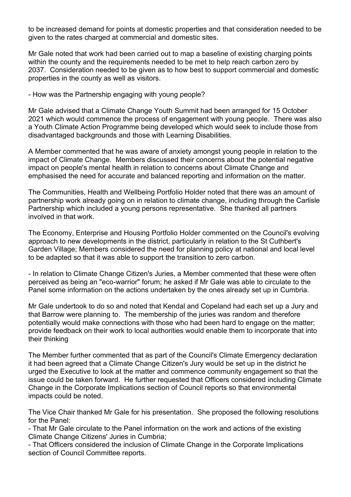to be increased demand for points at domestic properties and that consideration needed to be given to the rates charged at commercial and domestic sites.

Mr Gale noted that work had been carried out to map a baseline of existing charging points within the county and the requirements needed to be met to help reach carbon zero by 2037. Consideration needed to be given as to how best to support commercial and domestic properties in the county as well as visitors.

- How was the Partnership engaging with young people?

Mr Gale advised that a Climate Change Youth Summit had been arranged for 15 October 2021 which would commence the process of engagement with young people. There was also a Youth Climate Action Programme being developed which would seek to include those from disadvantaged backgrounds and those with Learning Disabilities.

A Member commented that he was aware of anxiety amongst young people in relation to the impact of Climate Change. Members discussed their concerns about the potential negative impact on people's mental health in relation to concerns about Climate Change and emphasised the need for accurate and balanced reporting and information on the matter.

The Communities, Health and Wellbeing Portfolio Holder noted that there was an amount of partnership work already going on in relation to climate change, including through the Carlisle Partnership which included a young persons representative. She thanked all partners involved in that work.

The Economy, Enterprise and Housing Portfolio Holder commented on the Council's evolving approach to new developments in the district, particularly in relation to the St Cuthbert's Garden Village; Members considered the need for planning policy at national and local level to be adapted so that it was able to support the transition to zero carbon.

- In relation to Climate Change Citizen's Juries, a Member commented that these were often perceived as being an "eco-warrior" forum; he asked if Mr Gale was able to circulate to the Panel some information on the actions undertaken by the ones already set up in Cumbria.

Mr Gale undertook to do so and noted that Kendal and Copeland had each set up a Jury and that Barrow were planning to. The membership of the juries was random and therefore potentially would make connections with those who had been hard to engage on the matter; provide feedback on their work to local authorities would enable them to incorporate that into their thinking

The Member further commented that as part of the Council's Climate Emergency declaration it had been agreed that a Climate Change Citizen's Jury would be set up in the district he urged the Executive to look at the matter and commence community engagement so that the issue could be taken forward. He further requested that Officers considered including Climate Change in the Corporate Implications section of Council reports so that environmental impacts could be noted.

The Vice Chair thanked Mr Gale for his presentation. She proposed the following resolutions for the Panel:

- That Mr Gale circulate to the Panel information on the work and actions of the existing Climate Change Citizens' Juries in Cumbria;

- That Officers considered the inclusion of Climate Change in the Corporate Implications section of Council Committee reports.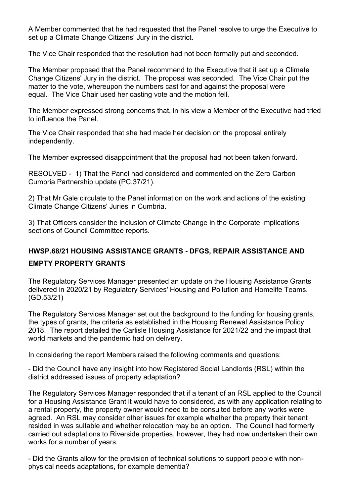A Member commented that he had requested that the Panel resolve to urge the Executive to set up a Climate Change Citizens' Jury in the district.

The Vice Chair responded that the resolution had not been formally put and seconded.

The Member proposed that the Panel recommend to the Executive that it set up a Climate Change Citizens' Jury in the district. The proposal was seconded. The Vice Chair put the matter to the vote, whereupon the numbers cast for and against the proposal were equal. The Vice Chair used her casting vote and the motion fell.

The Member expressed strong concerns that, in his view a Member of the Executive had tried to influence the Panel.

The Vice Chair responded that she had made her decision on the proposal entirely independently.

The Member expressed disappointment that the proposal had not been taken forward.

RESOLVED - 1) That the Panel had considered and commented on the Zero Carbon Cumbria Partnership update (PC.37/21).

2) That Mr Gale circulate to the Panel information on the work and actions of the existing Climate Change Citizens' Juries in Cumbria.

3) That Officers consider the inclusion of Climate Change in the Corporate Implications sections of Council Committee reports.

## **HWSP.68/21 HOUSING ASSISTANCE GRANTS - DFGS, REPAIR ASSISTANCE AND**

#### **EMPTY PROPERTY GRANTS**

The Regulatory Services Manager presented an update on the Housing Assistance Grants delivered in 2020/21 by Regulatory Services' Housing and Pollution and Homelife Teams. (GD.53/21)

The Regulatory Services Manager set out the background to the funding for housing grants, the types of grants, the criteria as established in the Housing Renewal Assistance Policy 2018. The report detailed the Carlisle Housing Assistance for 2021/22 and the impact that world markets and the pandemic had on delivery.

In considering the report Members raised the following comments and questions:

- Did the Council have any insight into how Registered Social Landlords (RSL) within the district addressed issues of property adaptation?

The Regulatory Services Manager responded that if a tenant of an RSL applied to the Council for a Housing Assistance Grant it would have to considered, as with any application relating to a rental property, the property owner would need to be consulted before any works were agreed. An RSL may consider other issues for example whether the property their tenant resided in was suitable and whether relocation may be an option. The Council had formerly carried out adaptations to Riverside properties, however, they had now undertaken their own works for a number of years.

- Did the Grants allow for the provision of technical solutions to support people with nonphysical needs adaptations, for example dementia?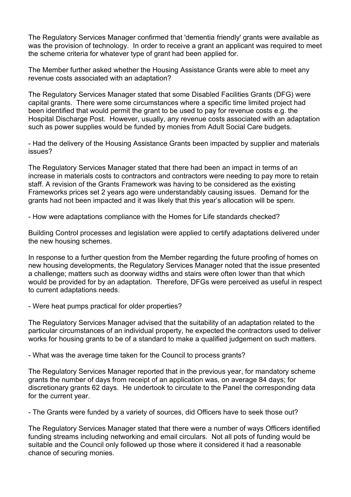The Regulatory Services Manager confirmed that 'dementia friendly' grants were available as was the provision of technology. In order to receive a grant an applicant was required to meet the scheme criteria for whatever type of grant had been applied for.

The Member further asked whether the Housing Assistance Grants were able to meet any revenue costs associated with an adaptation?

The Regulatory Services Manager stated that some Disabled Facilities Grants (DFG) were capital grants. There were some circumstances where a specific time limited project had been identified that would permit the grant to be used to pay for revenue costs e.g. the Hospital Discharge Post. However, usually, any revenue costs associated with an adaptation such as power supplies would be funded by monies from Adult Social Care budgets.

- Had the delivery of the Housing Assistance Grants been impacted by supplier and materials issues?

The Regulatory Services Manager stated that there had been an impact in terms of an increase in materials costs to contractors and contractors were needing to pay more to retain staff. A revision of the Grants Framework was having to be considered as the existing Frameworks prices set 2 years ago were understandably causing issues. Demand for the grants had not been impacted and it was likely that this year's allocation will be spent.

- How were adaptations compliance with the Homes for Life standards checked?

Building Control processes and legislation were applied to certify adaptations delivered under the new housing schemes.

In response to a further question from the Member regarding the future proofing of homes on new housing developments, the Regulatory Services Manager noted that the issue presented a challenge; matters such as doorway widths and stairs were often lower than that which would be provided for by an adaptation. Therefore, DFGs were perceived as useful in respect to current adaptations needs.

- Were heat pumps practical for older properties?

The Regulatory Services Manager advised that the suitability of an adaptation related to the particular circumstances of an individual property, he expected the contractors used to deliver works for housing grants to be of a standard to make a qualified judgement on such matters.

- What was the average time taken for the Council to process grants?

The Regulatory Services Manager reported that in the previous year, for mandatory scheme grants the number of days from receipt of an application was, on average 84 days; for discretionary grants 62 days. He undertook to circulate to the Panel the corresponding data for the current year.

- The Grants were funded by a variety of sources, did Officers have to seek those out?

The Regulatory Services Manager stated that there were a number of ways Officers identified funding streams including networking and email circulars. Not all pots of funding would be suitable and the Council only followed up those where it considered it had a reasonable chance of securing monies.